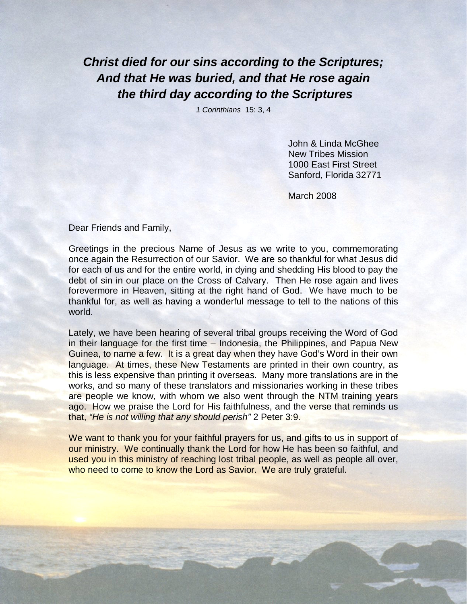**Christ died for our sins according to the Scriptures; And that He was buried, and that He rose again the third day according to the Scriptures** 

1 Corinthians 15: 3, 4

John & Linda McGhee New Tribes Mission 1000 East First Street Sanford, Florida 32771

March 2008

Dear Friends and Family,

Greetings in the precious Name of Jesus as we write to you, commemorating once again the Resurrection of our Savior. We are so thankful for what Jesus did for each of us and for the entire world, in dying and shedding His blood to pay the debt of sin in our place on the Cross of Calvary. Then He rose again and lives forevermore in Heaven, sitting at the right hand of God. We have much to be thankful for, as well as having a wonderful message to tell to the nations of this world.

Lately, we have been hearing of several tribal groups receiving the Word of God in their language for the first time – Indonesia, the Philippines, and Papua New Guinea, to name a few. It is a great day when they have God's Word in their own language. At times, these New Testaments are printed in their own country, as this is less expensive than printing it overseas. Many more translations are in the works, and so many of these translators and missionaries working in these tribes are people we know, with whom we also went through the NTM training years ago. How we praise the Lord for His faithfulness, and the verse that reminds us that, "He is not willing that any should perish" 2 Peter 3:9.

We want to thank you for your faithful prayers for us, and gifts to us in support of our ministry. We continually thank the Lord for how He has been so faithful, and used you in this ministry of reaching lost tribal people, as well as people all over, who need to come to know the Lord as Savior. We are truly grateful.